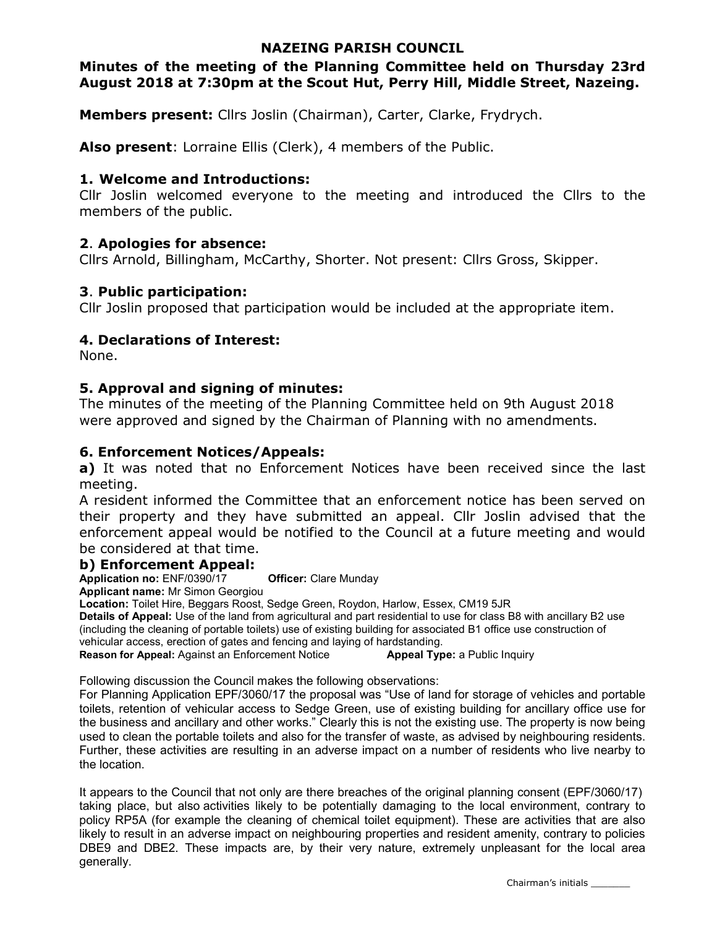### NAZEING PARISH COUNCIL

### Minutes of the meeting of the Planning Committee held on Thursday 23rd August 2018 at 7:30pm at the Scout Hut, Perry Hill, Middle Street, Nazeing.

Members present: Cllrs Joslin (Chairman), Carter, Clarke, Frydrych.

Also present: Lorraine Ellis (Clerk), 4 members of the Public.

### 1. Welcome and Introductions:

Cllr Joslin welcomed everyone to the meeting and introduced the Cllrs to the members of the public.

## 2. Apologies for absence:

Cllrs Arnold, Billingham, McCarthy, Shorter. Not present: Cllrs Gross, Skipper.

### 3. Public participation:

Cllr Joslin proposed that participation would be included at the appropriate item.

## 4. Declarations of Interest:

None.

### 5. Approval and signing of minutes:

The minutes of the meeting of the Planning Committee held on 9th August 2018 were approved and signed by the Chairman of Planning with no amendments.

### 6. Enforcement Notices/Appeals:

a) It was noted that no Enforcement Notices have been received since the last meeting.

A resident informed the Committee that an enforcement notice has been served on their property and they have submitted an appeal. Cllr Joslin advised that the enforcement appeal would be notified to the Council at a future meeting and would be considered at that time.

### b) Enforcement Appeal:

Application no: ENF/0390/17 **Officer:** Clare Munday

Applicant name: Mr Simon Georgiou

Location: Toilet Hire, Beggars Roost, Sedge Green, Roydon, Harlow, Essex, CM19 5JR

Details of Appeal: Use of the land from agricultural and part residential to use for class B8 with ancillary B2 use (including the cleaning of portable toilets) use of existing building for associated B1 office use construction of vehicular access, erection of gates and fencing and laying of hardstanding.

Reason for Appeal: Against an Enforcement Notice **Appeal Type:** a Public Inquiry

Following discussion the Council makes the following observations:

For Planning Application EPF/3060/17 the proposal was "Use of land for storage of vehicles and portable toilets, retention of vehicular access to Sedge Green, use of existing building for ancillary office use for the business and ancillary and other works." Clearly this is not the existing use. The property is now being used to clean the portable toilets and also for the transfer of waste, as advised by neighbouring residents. Further, these activities are resulting in an adverse impact on a number of residents who live nearby to the location.

It appears to the Council that not only are there breaches of the original planning consent (EPF/3060/17) taking place, but also activities likely to be potentially damaging to the local environment, contrary to policy RP5A (for example the cleaning of chemical toilet equipment). These are activities that are also likely to result in an adverse impact on neighbouring properties and resident amenity, contrary to policies DBE9 and DBE2. These impacts are, by their very nature, extremely unpleasant for the local area generally.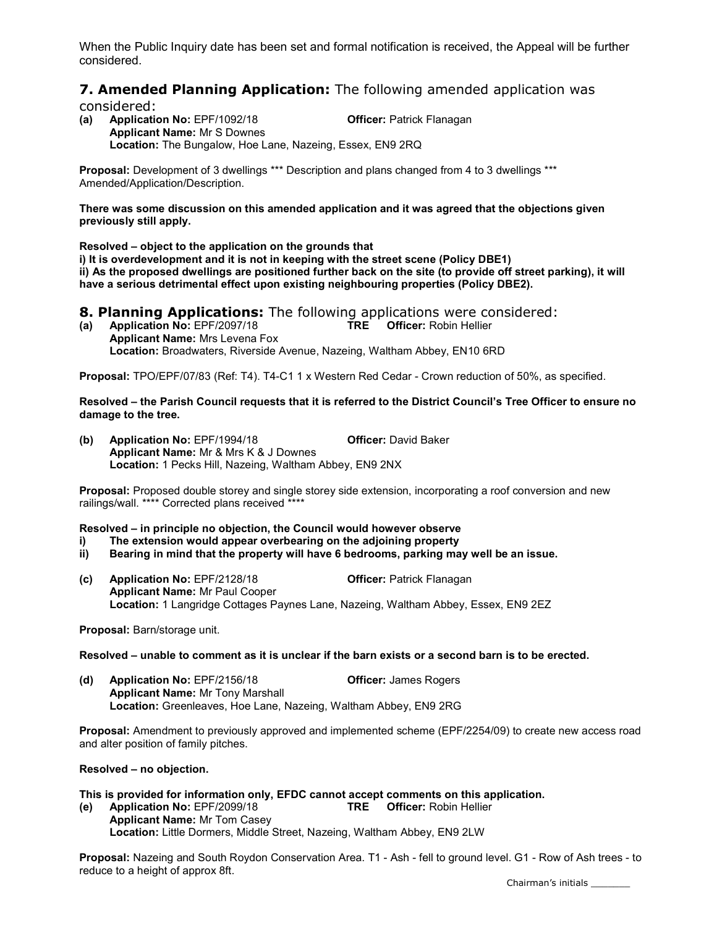When the Public Inquiry date has been set and formal notification is received, the Appeal will be further considered.

# **7. Amended Planning Application:** The following amended application was

considered:

(a) Application No: EPF/1092/18 Officer: Patrick Flanagan Applicant Name: Mr S Downes Location: The Bungalow, Hoe Lane, Nazeing, Essex, EN9 2RQ

Proposal: Development of 3 dwellings \*\*\* Description and plans changed from 4 to 3 dwellings \*\*\* Amended/Application/Description.

There was some discussion on this amended application and it was agreed that the objections given previously still apply.

Resolved – object to the application on the grounds that

i) It is overdevelopment and it is not in keeping with the street scene (Policy DBE1) ii) As the proposed dwellings are positioned further back on the site (to provide off street parking), it will have a serious detrimental effect upon existing neighbouring properties (Policy DBE2).

**8. Planning Applications:** The following applications were considered:<br>(a) Application No: FPF/2097/18 **TRE** Officer: Robin Hellier

(a) Application No:  $EPF/2097/18$ Applicant Name: Mrs Levena Fox Location: Broadwaters, Riverside Avenue, Nazeing, Waltham Abbey, EN10 6RD

Proposal: TPO/EPF/07/83 (Ref: T4). T4-C1 1 x Western Red Cedar - Crown reduction of 50%, as specified.

#### Resolved – the Parish Council requests that it is referred to the District Council's Tree Officer to ensure no damage to the tree.

(b) Application No: EPF/1994/18 Officer: David Baker Applicant Name: Mr & Mrs K & J Downes Location: 1 Pecks Hill, Nazeing, Waltham Abbey, EN9 2NX

Proposal: Proposed double storey and single storey side extension, incorporating a roof conversion and new railings/wall. \*\*\*\* Corrected plans received \*\*\*\*

Resolved – in principle no objection, the Council would however observe

- i) The extension would appear overbearing on the adjoining property
- ii) Bearing in mind that the property will have 6 bedrooms, parking may well be an issue.
- (c) Application No: EPF/2128/18 Officer: Patrick Flanagan Applicant Name: Mr Paul Cooper Location: 1 Langridge Cottages Paynes Lane, Nazeing, Waltham Abbey, Essex, EN9 2EZ

Proposal: Barn/storage unit.

#### Resolved – unable to comment as it is unclear if the barn exists or a second barn is to be erected.

| (d) | Application No: EPF/2156/18                                             | <b>Officer: James Rogers</b> |
|-----|-------------------------------------------------------------------------|------------------------------|
|     | <b>Applicant Name: Mr Tony Marshall</b>                                 |                              |
|     | <b>Location:</b> Greenleaves, Hoe Lane, Nazeing, Waltham Abbey, EN9 2RG |                              |

Proposal: Amendment to previously approved and implemented scheme (EPF/2254/09) to create new access road and alter position of family pitches.

#### Resolved – no objection.

### This is provided for information only, EFDC cannot accept comments on this application.

(e) Application No: EPF/2099/18 TRE Officer: Robin Hellier Applicant Name: Mr Tom Casey Location: Little Dormers, Middle Street, Nazeing, Waltham Abbey, EN9 2LW

Proposal: Nazeing and South Roydon Conservation Area. T1 - Ash - fell to ground level. G1 - Row of Ash trees - to reduce to a height of approx 8ft.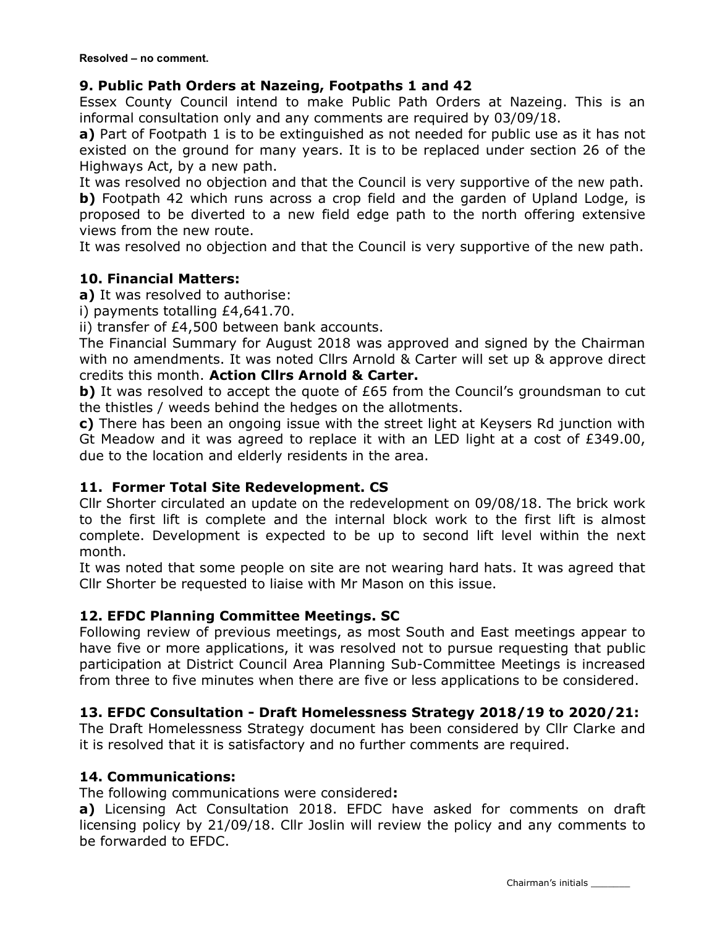## 9. Public Path Orders at Nazeing, Footpaths 1 and 42

Essex County Council intend to make Public Path Orders at Nazeing. This is an informal consultation only and any comments are required by 03/09/18.

a) Part of Footpath 1 is to be extinguished as not needed for public use as it has not existed on the ground for many years. It is to be replaced under section 26 of the Highways Act, by a new path.

It was resolved no objection and that the Council is very supportive of the new path. b) Footpath 42 which runs across a crop field and the garden of Upland Lodge, is proposed to be diverted to a new field edge path to the north offering extensive views from the new route.

It was resolved no objection and that the Council is very supportive of the new path.

### 10. Financial Matters:

a) It was resolved to authorise:

i) payments totalling £4,641.70.

ii) transfer of £4,500 between bank accounts.

The Financial Summary for August 2018 was approved and signed by the Chairman with no amendments. It was noted Cllrs Arnold & Carter will set up & approve direct credits this month. Action Cllrs Arnold & Carter.

**b**) It was resolved to accept the quote of £65 from the Council's groundsman to cut the thistles / weeds behind the hedges on the allotments.

c) There has been an ongoing issue with the street light at Keysers Rd junction with Gt Meadow and it was agreed to replace it with an LED light at a cost of £349.00, due to the location and elderly residents in the area.

### 11. Former Total Site Redevelopment. CS

Cllr Shorter circulated an update on the redevelopment on 09/08/18. The brick work to the first lift is complete and the internal block work to the first lift is almost complete. Development is expected to be up to second lift level within the next month.

It was noted that some people on site are not wearing hard hats. It was agreed that Cllr Shorter be requested to liaise with Mr Mason on this issue.

### 12. EFDC Planning Committee Meetings. SC

Following review of previous meetings, as most South and East meetings appear to have five or more applications, it was resolved not to pursue requesting that public participation at District Council Area Planning Sub-Committee Meetings is increased from three to five minutes when there are five or less applications to be considered.

## 13. EFDC Consultation - Draft Homelessness Strategy 2018/19 to 2020/21:

The Draft Homelessness Strategy document has been considered by Cllr Clarke and it is resolved that it is satisfactory and no further comments are required.

### 14. Communications:

The following communications were considered:

a) Licensing Act Consultation 2018. EFDC have asked for comments on draft licensing policy by 21/09/18. Cllr Joslin will review the policy and any comments to be forwarded to EFDC.